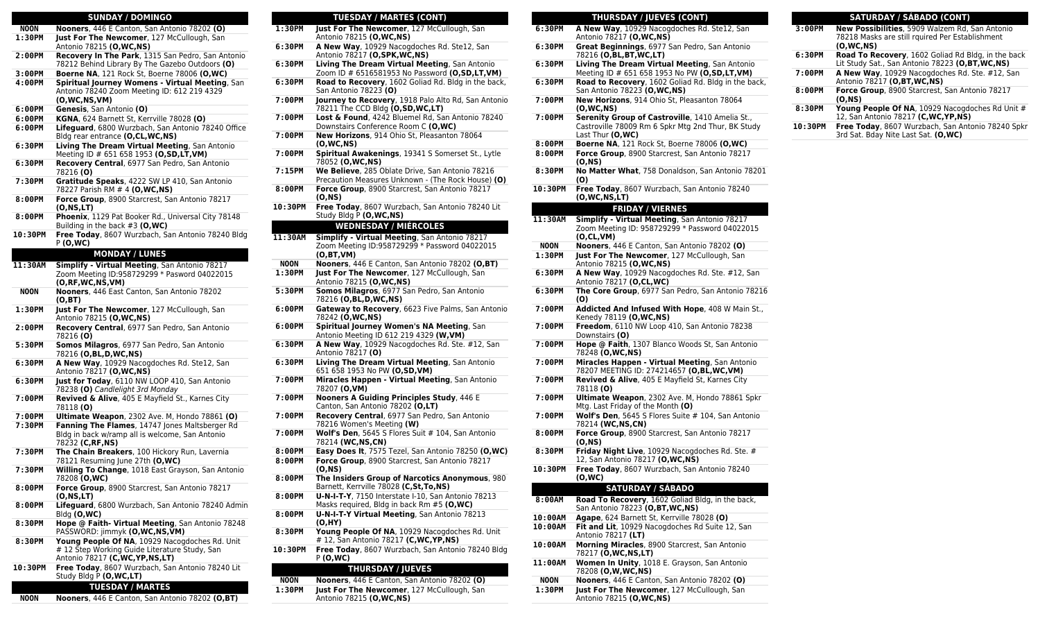#### **SUNDAY / DOMINGO NOON Nooners**, 446 E Canton, San Antonio 78202 **(O) 1:30PM Just For The Newcomer**, 127 McCullough, San Antonio 78215 **(O,WC,NS) 2:00PM Recovery In The Park**, 1315 San Pedro, San Antonio 78212 Behind Library By The Gazebo Outdoors **(O) 3:00PM Boerne NA**, 121 Rock St, Boerne 78006 **(O,WC) 4:00PM Spiritual Journey Womens - Virtual Meeting**, San Antonio 78240 Zoom Meeting ID: 612 219 4329 **(O,WC,NS,VM) 6:00PM Genesis**, San Antonio **(O) 6:00PM KGNA**, 624 Barnett St, Kerrville 78028 **(O) 6:00PM Lifeguard**, 6800 Wurzbach, San Antonio 78240 Office Bldg rear entrance **(O,CL,WC,NS) 6:30PM Living The Dream Virtual Meeting**, San Antonio Meeting ID # 651 658 1953 **(O,SD,LT,VM) 6:30PM Recovery Central**, 6977 San Pedro, San Antonio 78216 **(O) 7:30PM Gratitude Speaks**, 4222 SW LP 410, San Antonio 78227 Parish RM # 4 **(O,WC,NS) 8:00PM Force Group**, 8900 Starcrest, San Antonio 78217 **(O,NS,LT) 8:00PM Phoenix**, 1129 Pat Booker Rd., Universal City 78148 Building in the back #3 **(O,WC) 10:30PM Free Today**, 8607 Wurzbach, San Antonio 78240 Bldg P **(O,WC) MONDAY / LUNES 11:30AM Simplify - Virtual Meeting**, San Antonio 78217 Zoom Meeting ID:958729299 \* Pasword 04022015 **(O,RF,WC,NS,VM) NOON Nooners**, 446 East Canton, San Antonio 78202 **(O,BT) 1:30PM Just For The Newcomer**, 127 McCullough, San Antonio 78215 **(O,WC,NS) 2:00PM Recovery Central**, 6977 San Pedro, San Antonio 78216 **(O) 5:30PM Somos Milagros**, 6977 San Pedro, San Antonio 78216 **(O,BL,D,WC,NS) 6:30PM A New Way**, 10929 Nacogdoches Rd. Ste12, San Antonio 78217 **(O,WC,NS) 6:30PM Just for Today**, 6110 NW LOOP 410, San Antonio 78238 **(O)** Candlelight 3rd Monday **7:00PM Revived & Alive**, 405 E Mayfield St., Karnes City 78118 **(O) 7:00PM Ultimate Weapon**, 2302 Ave. M, Hondo 78861 **(O) 7:30PM Fanning The Flames**, 14747 Jones Maltsberger Rd Bldg in back w/ramp all is welcome, San Antonio 78232 **(C,RF,NS) 7:30PM The Chain Breakers**, 100 Hickory Run, Lavernia 78121 Resuming June 27th **(O,WC) 7:30PM Willing To Change**, 1018 East Grayson, San Antonio 78208 **(O,WC) 8:00PM Force Group**, 8900 Starcrest, San Antonio 78217 **(O,NS,LT) 8:00PM Lifeguard**, 6800 Wurzbach, San Antonio 78240 Admin Bldg **(O,WC) 8:30PM Hope @ Faith- Virtual Meeting**, San Antonio 78248 PASSWORD: jimmyk **(O,WC,NS,VM) 8:30PM Young People Of NA**, 10929 Nacogdoches Rd. Unit # 12 Step Working Guide Literature Study, San Antonio 78217 **(C,WC,YP,NS,LT) 10:30PM Free Today**, 8607 Wurzbach, San Antonio 78240 Lit Study Bldg P **(O,WC,LT) TUESDAY / MARTES**

**NOON Nooners**, 446 E Canton, San Antonio 78202 **(O,BT)**

## **TUESDAY / MARTES (CONT)**

- **1:30PM Just For The Newcomer**, 127 McCullough, San Antonio 78215 **(O,WC,NS)**
- **6:30PM A New Way**, 10929 Nacogdoches Rd. Ste12, San Antonio 78217 **(O,SPK,WC,NS)**
- **6:30PM Living The Dream Virtual Meeting**, San Antonio Zoom ID # 6516581953 No Password **(O,SD,LT,VM)**
- **6:30PM Road to Recovery**, 1602 Goliad Rd. Bldg in the back, San Antonio 78223 **(O)**
- **7:00PM Journey to Recovery**, 1918 Palo Alto Rd, San Antonio 78211 The CCD Bldg **(O,SD,WC,LT)**
- **7:00PM Lost & Found**, 4242 Bluemel Rd, San Antonio 78240 Downstairs Conference Room C **(O,WC)**
- **7:00PM New Horizons**, 914 Ohio St, Pleasanton 78064 **(O,WC,NS)**
- **7:00PM Spiritual Awakenings**, 19341 S Somerset St., Lytle 78052 **(O,WC,NS)**
- **7:15PM We Believe**, 285 Oblate Drive, San Antonio 78216 Precaution Measures Unknown - (The Rock House) **(O)**
- **8:00PM Force Group**, 8900 Starcrest, San Antonio 78217 **(O,NS)**
- **10:30PM Free Today**, 8607 Wurzbach, San Antonio 78240 Lit Study Bldg P **(O,WC,NS)**

#### **WEDNESDAY / MIÉRCOLES**

- **11:30AM Simplify Virtual Meeting**, San Antonio 78217 Zoom Meeting ID:958729299 \* Password 04022015 **(O,BT,VM)**
- **NOON Nooners**, 446 E Canton, San Antonio 78202 **(O,BT) 1:30PM Just For The Newcomer**, 127 McCullough, San Antonio 78215 **(O,WC,NS)**
- **5:30PM Somos Milagros**, 6977 San Pedro, San Antonio 78216 **(O,BL,D,WC,NS)**
- **6:00PM Gateway to Recovery**, 6623 Five Palms, San Antonio 78242 **(O,WC,NS)**
- **6:00PM Spiritual Journey Women's NA Meeting**, San Antonio Meeting ID 612 219 4329 **(W,VM)**
- **6:30PM A New Way**, 10929 Nacogdoches Rd. Ste. #12, San Antonio 78217 **(O)**
- **6:30PM Living The Dream Virtual Meeting**, San Antonio 651 658 1953 No PW **(O,SD,VM)**
- **7:00PM Miracles Happen Virtual Meeting**, San Antonio 78207 **(O,VM)**
- **7:00PM Nooners A Guiding Principles Study**, 446 E Canton, San Antonio 78202 **(O,LT)**
- **7:00PM Recovery Central**, 6977 San Pedro, San Antonio 78216 Women's Meeting **(W)**
- **7:00PM Wolf's Den**, 5645 S Flores Suit # 104, San Antonio 78214 **(WC,NS,CN)**
- **8:00PM Easy Does It**, 7575 Tezel, San Antonio 78250 **(O,WC) 8:00PM Force Group**, 8900 Starcrest, San Antonio 78217 **(O,NS)**
- **8:00PM The Insiders Group of Narcotics Anonymous**, 980 Barnett, Kerrville 78028 **(C,St,To,NS)**
- **8:00PM U-N-I-T-Y**, 7150 Interstate I-10, San Antonio 78213 Masks required, Bldg in back Rm #5 **(O,WC)**
	- **8:00PM U-N-I-T-Y Virtual Meeting**, San Antonio 78213 **(O,HY)**
	- **8:30PM Young People Of NA**, 10929 Nacogdoches Rd. Unit # 12, San Antonio 78217 **(C,WC,YP,NS)**
	- **10:30PM Free Today**, 8607 Wurzbach, San Antonio 78240 Bldg P **(O,WC)**

#### **THURSDAY / JUEVES**

**NOON Nooners**, 446 E Canton, San Antonio 78202 **(O) 1:30PM Just For The Newcomer**, 127 McCullough, San Antonio 78215 **(O,WC,NS)**

## **THURSDAY / JUEVES (CONT)**

| 6:30PM           | A New Way, 10929 Nacogdoches Rd. Ste12, San<br>Antonio 78217 (O,WC,NS)                                                                        |  |  |  |
|------------------|-----------------------------------------------------------------------------------------------------------------------------------------------|--|--|--|
| 6:30PM           | Great Beginnings, 6977 San Pedro, San Antonio<br>78216 (O,BL,BT,WC,LT)                                                                        |  |  |  |
| 6:30PM           | Living The Dream Virtual Meeting, San Antonio<br>Meeting ID # 651 658 1953 No PW (O,SD,LT,VM)                                                 |  |  |  |
| 6:30PM           | Road to Recovery, 1602 Goliad Rd. Bldg in the back,<br>San Antonio 78223 (O,WC,NS)                                                            |  |  |  |
| 7:00PM           | New Horizons, 914 Ohio St, Pleasanton 78064<br>(0,WC,NS)                                                                                      |  |  |  |
| 7:00PM           | Serenity Group of Castroville, 1410 Amelia St.,<br>Castroville 78009 Rm 6 Spkr Mtg 2nd Thur, BK Study<br>Last Thur (O,WC)                     |  |  |  |
| 8:00PM           | <b>Boerne NA, 121 Rock St, Boerne 78006 (O,WC)</b>                                                                                            |  |  |  |
| 8:00PM           | Force Group, 8900 Starcrest, San Antonio 78217<br>(O,NS)                                                                                      |  |  |  |
| 8:30PM           | No Matter What, 758 Donaldson, San Antonio 78201<br>(O)                                                                                       |  |  |  |
| 10:30PM          | Free Today, 8607 Wurzbach, San Antonio 78240<br>(O,WC,NS,LT)                                                                                  |  |  |  |
|                  | <b>FRIDAY / VIERNES</b>                                                                                                                       |  |  |  |
| 11:30AM          | Simplify - Virtual Meeting, San Antonio 78217<br>Zoom Meeting ID: 958729299 * Password 04022015<br>(O,CL,VM)                                  |  |  |  |
| <b>NOON</b>      | Nooners, 446 E Canton, San Antonio 78202 (O)                                                                                                  |  |  |  |
| 1:30PM           | Just For The Newcomer, 127 McCullough, San<br>Antonio 78215 (O,WC,NS)                                                                         |  |  |  |
| 6:30PM           | A New Way, 10929 Nacogdoches Rd. Ste. #12, San<br>Antonio 78217 (O,CL,WC)                                                                     |  |  |  |
| 6:30PM           | The Core Group, 6977 San Pedro, San Antonio 78216<br>(O)                                                                                      |  |  |  |
| 7:00PM           | <b>Addicted And Infused With Hope</b> , 408 W Main St.,<br>Kenedy 78119 (O, WC, NS)                                                           |  |  |  |
| 7:00PM           | Freedom, 6110 NW Loop 410, San Antonio 78238<br>Downstairs (O)                                                                                |  |  |  |
| 7:00PM<br>7:00PM | Hope @ Faith, 1307 Blanco Woods St, San Antonio<br>78248 (O,WC,NS)                                                                            |  |  |  |
| 7:00PM           | Miracles Happen - Virtual Meeting, San Antonio<br>78207 MEETING ID: 274214657 (O,BL,WC,VM)<br>Revived & Alive, 405 E Mayfield St, Karnes City |  |  |  |
| 7:00PM           | 78118 (O)<br>Ultimate Weapon, 2302 Ave. M, Hondo 78861 Spkr                                                                                   |  |  |  |
| 7:00PM           | Mtg. Last Friday of the Month (O)<br>Wolf's Den, 5645 S Flores Suite # 104, San Antonio                                                       |  |  |  |
| 8:00PM           | 78214 (WC,NS,CN)<br>Force Group, 8900 Starcrest, San Antonio 78217                                                                            |  |  |  |
| 8:30PM           | (O,NS)<br><b>Friday Night Live, 10929 Nacogdoches Rd. Ste. #</b>                                                                              |  |  |  |
| 10:30PM          | 12, San Antonio 78217 (O, WC, NS)<br>Free Today, 8607 Wurzbach, San Antonio 78240                                                             |  |  |  |
|                  | (0,WC)<br><b>SATURDAY / SÁBADO</b>                                                                                                            |  |  |  |
| 8:00AM           |                                                                                                                                               |  |  |  |
| 10:00AM          | Road To Recovery, 1602 Goliad Bldg, in the back,<br>San Antonio 78223 (O,BT, WC,NS)<br>Agape, 624 Barnett St, Kerrville 78028 (O)             |  |  |  |
| 10:00AM          | Fit and Lit, 10929 Nacogdoches Rd Suite 12, San                                                                                               |  |  |  |
| 10:00AM          | Antonio 78217 (LT)<br>Morning Miracles, 8900 Starcrest, San Antonio                                                                           |  |  |  |
| 11:00AM          | 78217 (O,WC,NS,LT)<br>Women In Unity, 1018 E. Grayson, San Antonio                                                                            |  |  |  |
| NOON             | 78208 (O,W,WC,NS)<br>Nooners, 446 E Canton, San Antonio 78202 (O)                                                                             |  |  |  |
| 1:30PM           | Just For The Newcomer, 127 McCullough, San                                                                                                    |  |  |  |
|                  | Antonio 78215 (O.WC.NS)                                                                                                                       |  |  |  |

#### **SATURDAY / SÁBADO (CONT) 3:00PM New Possibilities**, 5909 Walzem Rd, San Antonio

| J.UUFM  | <b>New Possibilities</b> , J909 Walzelli Nu, Sali Alitolilo<br>78218 Masks are still rquired Per Establishment<br>(0,WC,NS) |  |  |
|---------|-----------------------------------------------------------------------------------------------------------------------------|--|--|
| 6:30PM  | <b>Road To Recovery, 1602 Goliad Rd Bldg, in the back</b><br>Lit Study Sat., San Antonio 78223 (O, BT, WC, NS)              |  |  |
| 7:00PM  | A New Way, 10929 Nacogdoches Rd. Ste. #12, San<br>Antonio 78217 (O, BT, WC, NS)                                             |  |  |
| 8:00PM  | Force Group, 8900 Starcrest, San Antonio 78217<br>(O.NS)                                                                    |  |  |
| 8:30PM  | Young People Of NA, 10929 Nacogdoches Rd Unit #<br>12, San Antonio 78217 (C, WC, YP, NS)                                    |  |  |
| 10:30PM | Free Today, 8607 Wurzbach, San Antonio 78240 Spkr<br>3rd Sat. Bday Nite Last Sat. (O, WC)                                   |  |  |